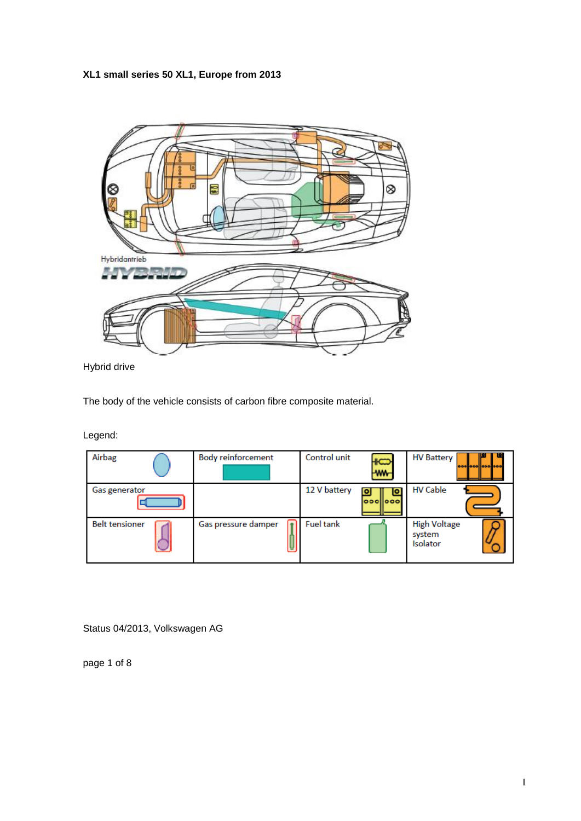**XL1 small series 50 XL1, Europe from 2013**



Hybrid drive

The body of the vehicle consists of carbon fibre composite material.

Legend:

| Airbag                | <b>Body reinforcement</b> | Control unit     | ₩<br><b>WW</b> | <b>HV Battery</b><br>000 000 000 000             |
|-----------------------|---------------------------|------------------|----------------|--------------------------------------------------|
| Gas generator         |                           | 12 V battery     | lo<br> 000     | <b>HV Cable</b>                                  |
| <b>Belt tensioner</b> | Gas pressure damper       | <b>Fuel tank</b> |                | <b>High Voltage</b><br>system<br><b>Isolator</b> |

Status 04/2013, Volkswagen AG

page 1 of 8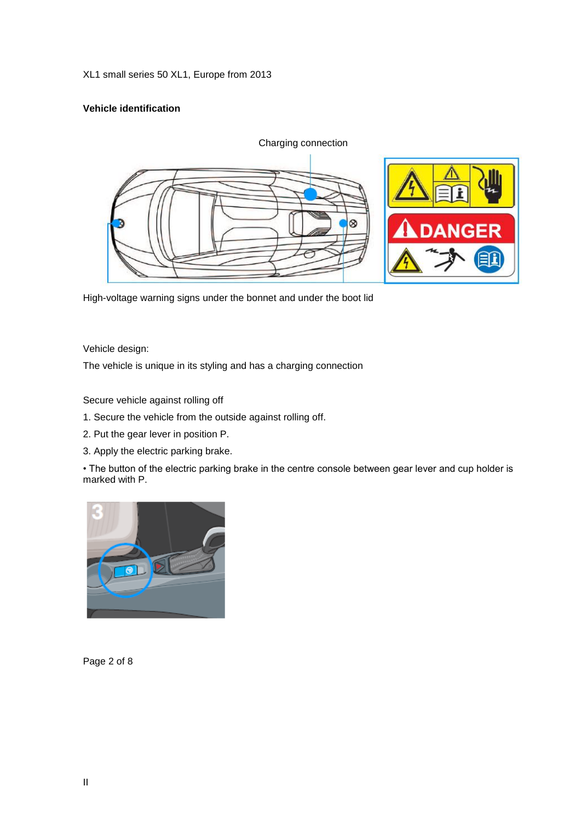XL1 small series 50 XL1, Europe from 2013

# **Vehicle identification**



High-voltage warning signs under the bonnet and under the boot lid

Vehicle design:

The vehicle is unique in its styling and has a charging connection

Secure vehicle against rolling off

- 1. Secure the vehicle from the outside against rolling off.
- 2. Put the gear lever in position P.
- 3. Apply the electric parking brake.

• The button of the electric parking brake in the centre console between gear lever and cup holder is marked with P.



Page 2 of 8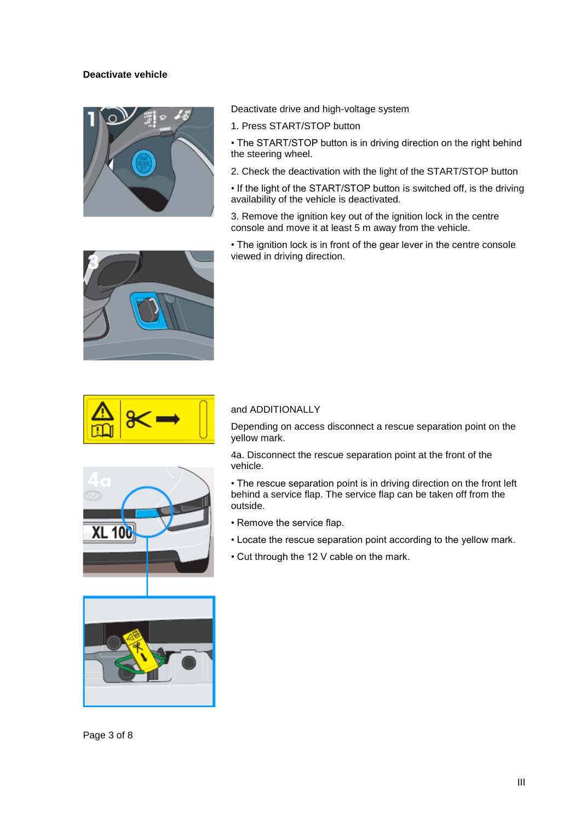# **Deactivate vehicle**



Deactivate drive and high-voltage system

1. Press START/STOP button

• The START/STOP button is in driving direction on the right behind the steering wheel.

2. Check the deactivation with the light of the START/STOP button

• If the light of the START/STOP button is switched off, is the driving availability of the vehicle is deactivated.

3. Remove the ignition key out of the ignition lock in the centre console and move it at least 5 m away from the vehicle.

• The ignition lock is in front of the gear lever in the centre console viewed in driving direction.





# and ADDITIONALLY

Depending on access disconnect a rescue separation point on the yellow mark.

4a. Disconnect the rescue separation point at the front of the vehicle.

• The rescue separation point is in driving direction on the front left behind a service flap. The service flap can be taken off from the outside.

- Remove the service flap.
- Locate the rescue separation point according to the yellow mark.
- Cut through the 12 V cable on the mark.





**XL 100**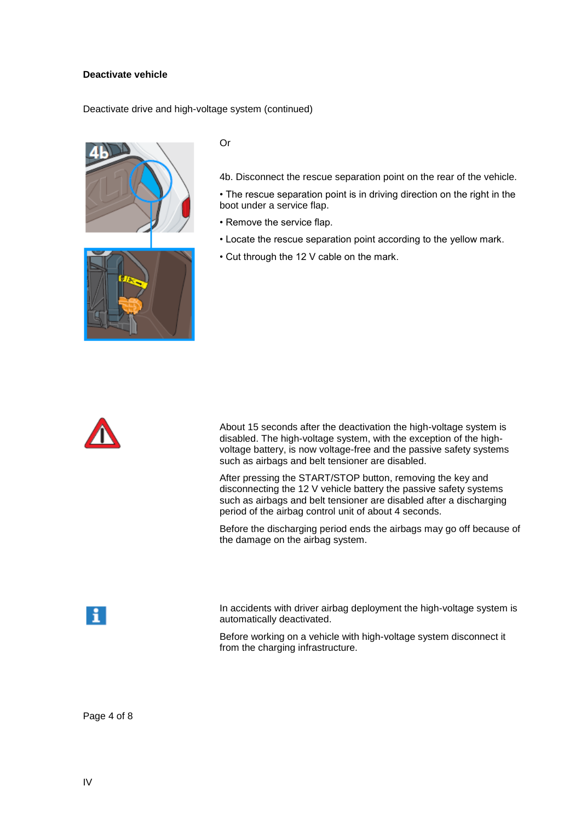# **Deactivate vehicle**

Deactivate drive and high-voltage system (continued)





Or

4b. Disconnect the rescue separation point on the rear of the vehicle.

- The rescue separation point is in driving direction on the right in the boot under a service flap.
- Remove the service flap.
- Locate the rescue separation point according to the yellow mark.
- Cut through the 12 V cable on the mark.



About 15 seconds after the deactivation the high-voltage system is disabled. The high-voltage system, with the exception of the highvoltage battery, is now voltage-free and the passive safety systems such as airbags and belt tensioner are disabled.

After pressing the START/STOP button, removing the key and disconnecting the 12 V vehicle battery the passive safety systems such as airbags and belt tensioner are disabled after a discharging period of the airbag control unit of about 4 seconds.

Before the discharging period ends the airbags may go off because of the damage on the airbag system.



In accidents with driver airbag deployment the high-voltage system is automatically deactivated.

Before working on a vehicle with high-voltage system disconnect it from the charging infrastructure.

Page 4 of 8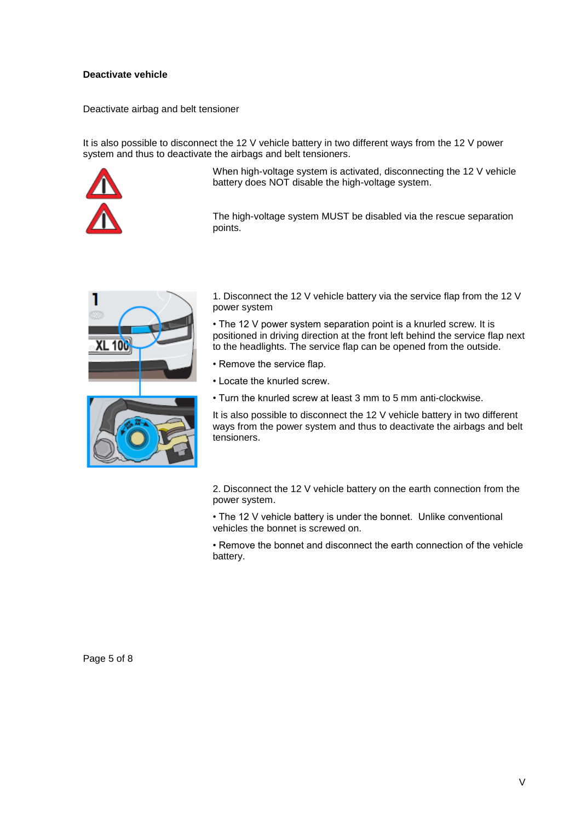# **Deactivate vehicle**

Deactivate airbag and belt tensioner

It is also possible to disconnect the 12 V vehicle battery in two different ways from the 12 V power system and thus to deactivate the airbags and belt tensioners.



When high-voltage system is activated, disconnecting the 12 V vehicle battery does NOT disable the high-voltage system.

The high-voltage system MUST be disabled via the rescue separation points.





1. Disconnect the 12 V vehicle battery via the service flap from the 12 V power system

• The 12 V power system separation point is a knurled screw. It is positioned in driving direction at the front left behind the service flap next to the headlights. The service flap can be opened from the outside.

- Remove the service flap.
- Locate the knurled screw.
- Turn the knurled screw at least 3 mm to 5 mm anti-clockwise.

It is also possible to disconnect the 12 V vehicle battery in two different ways from the power system and thus to deactivate the airbags and belt tensioners.

2. Disconnect the 12 V vehicle battery on the earth connection from the power system.

• The 12 V vehicle battery is under the bonnet. Unlike conventional vehicles the bonnet is screwed on.

• Remove the bonnet and disconnect the earth connection of the vehicle battery.

Page 5 of 8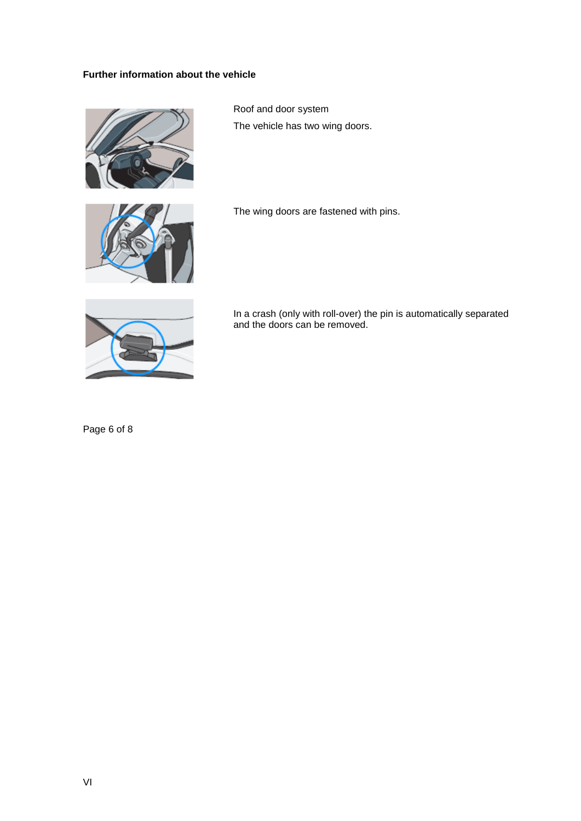# **Further information about the vehicle**



Roof and door system The vehicle has two wing doors.



The wing doors are fastened with pins.



In a crash (only with roll-over) the pin is automatically separated and the doors can be removed.

Page 6 of 8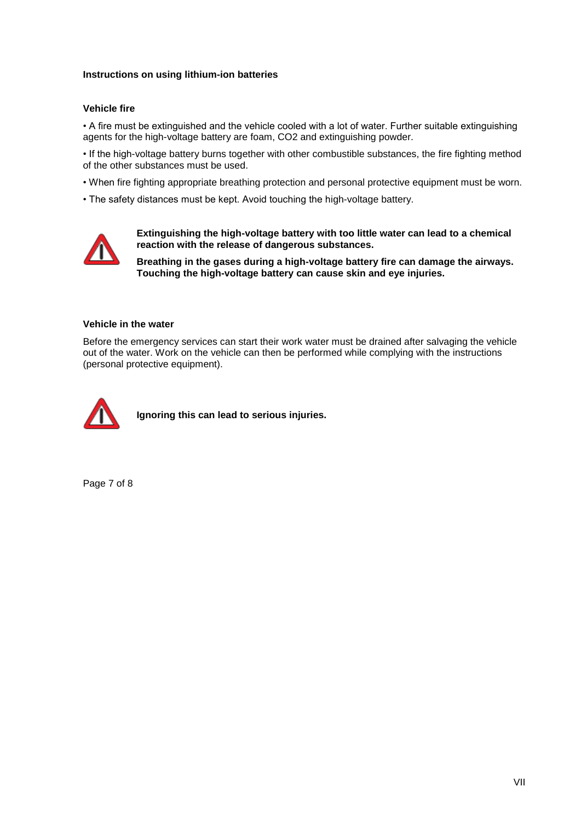# **Instructions on using lithium-ion batteries**

### **Vehicle fire**

• A fire must be extinguished and the vehicle cooled with a lot of water. Further suitable extinguishing agents for the high-voltage battery are foam, CO2 and extinguishing powder.

• If the high-voltage battery burns together with other combustible substances, the fire fighting method of the other substances must be used.

• When fire fighting appropriate breathing protection and personal protective equipment must be worn.

• The safety distances must be kept. Avoid touching the high-voltage battery.



**Extinguishing the high-voltage battery with too little water can lead to a chemical reaction with the release of dangerous substances.** 

**Breathing in the gases during a high-voltage battery fire can damage the airways. Touching the high-voltage battery can cause skin and eye injuries.**

#### **Vehicle in the water**

Before the emergency services can start their work water must be drained after salvaging the vehicle out of the water. Work on the vehicle can then be performed while complying with the instructions (personal protective equipment).



**Ignoring this can lead to serious injuries.**

Page 7 of 8